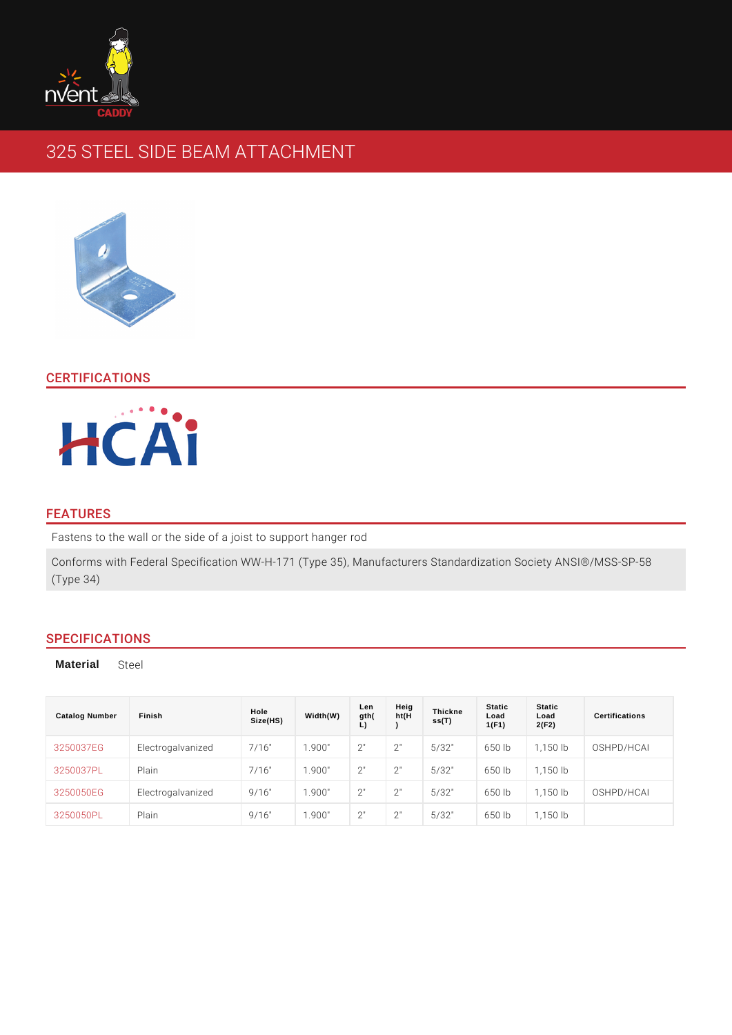# 325 STEEL SIDE BEAM ATTACHMENT

## CERTIFICATIONS

### FEATURES

Fastens to the wall or the side of a joist to support hanger rod Conforms with Federal Specification WW-H-171 (Type 35), Manufacturers Standa (Type 34)

## SPECIFICATIONS

Material Steel

| Catalog Number  | Finish                         | Hole<br>Size(HS) | Width(W) | Len<br>gth( | Heig<br>ht(H) | Thickne<br>ss(T) | Static<br>Load<br>1(F1) | Static<br>Load<br>2(F2) | Certifications           |
|-----------------|--------------------------------|------------------|----------|-------------|---------------|------------------|-------------------------|-------------------------|--------------------------|
|                 | 3250037EG Electrogalvanized16" |                  | 1.900"   | 2"          | 2"            | 5/32"            |                         |                         | 650 1b 1,150 1bOSHPD/HCA |
| 3250037PL Plain |                                | 7/16"            | 1.900"   | 2"          | 2"            | 5/32"            | 650 lb                  | $1.150$ $1b$            |                          |
|                 | 3250050EG Electrogalvaniz@d16" |                  | 1.900"   | 2"          | 2"            | 5/32"            |                         |                         | 650 1b 1,150 1bOSHPD/HCA |
| 3250050PL Plain |                                | 9/16"            | 1.900"   | 2"          | 2"            | 5/32"            | 650 lb                  | 1.150 lb                |                          |